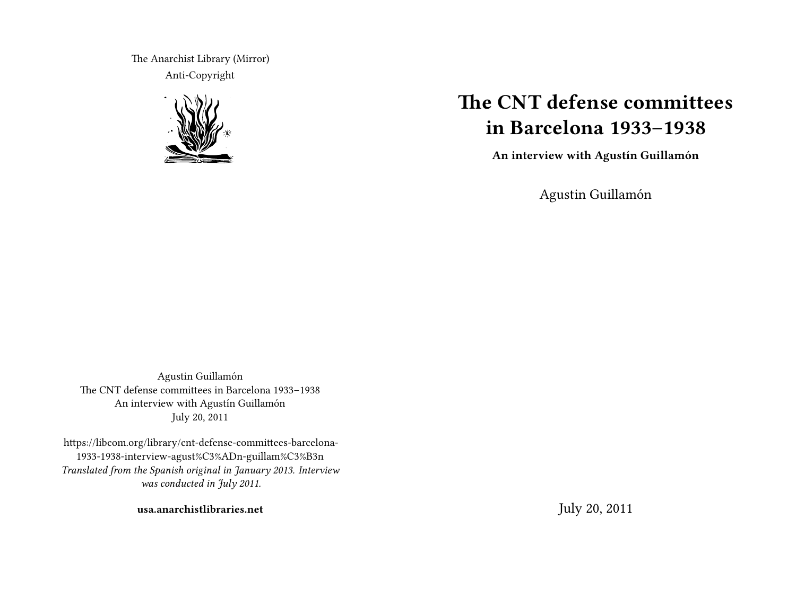The Anarchist Library (Mirror) Anti-Copyright



# **The CNT defense committees in Barcelona 1933–1938**

**An interview with Agustín Guillamón**

Agustin Guillamón

Agustin Guillamón The CNT defense committees in Barcelona 1933–1938 An interview with Agustín Guillamón July 20, 2011

https://libcom.org/library/cnt-defense-committees-barcelona-1933-1938-interview-agust%C3%ADn-guillam%C3%B3n *Translated from the Spanish original in January 2013. Interview was conducted in July 2011.*

**usa.anarchistlibraries.net**

July 20, 2011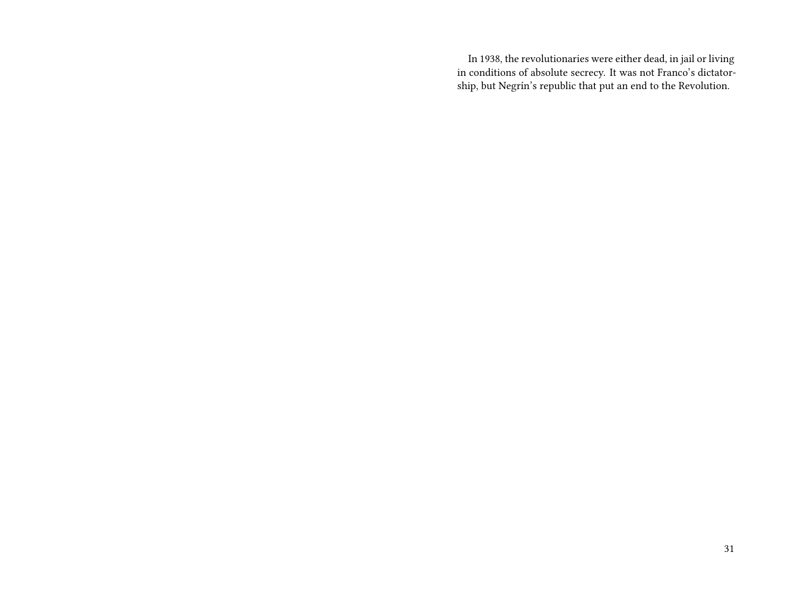In 1938, the revolutionaries were either dead, in jail or living in conditions of absolute secrecy. It was not Franco's dictatorship, but Negrín's republic that put an end to the Revolution.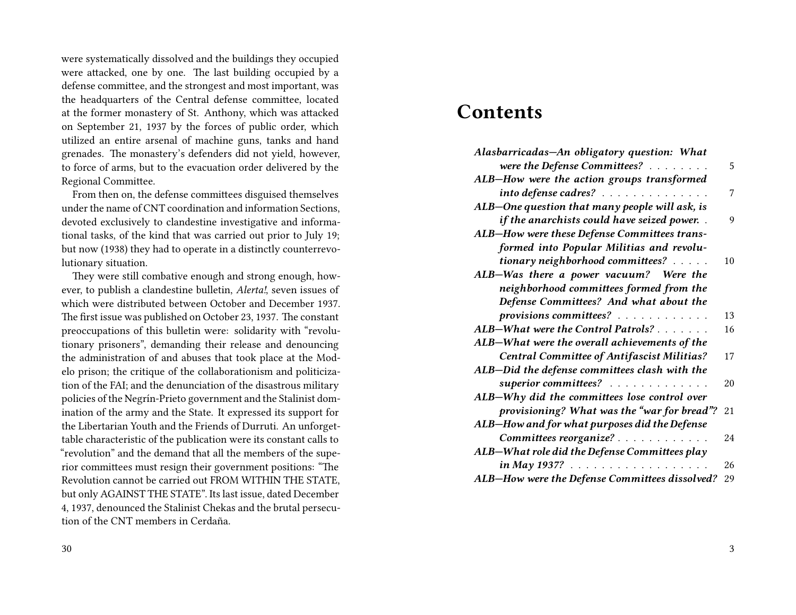were systematically dissolved and the buildings they occupied were attacked, one by one. The last building occupied by a defense committee, and the strongest and most important, was the headquarters of the Central defense committee, located at the former monastery of St. Anthony, which was attacked on September 21, 1937 by the forces of public order, which utilized an entire arsenal of machine guns, tanks and hand grenades. The monastery's defenders did not yield, however, to force of arms, but to the evacuation order delivered by the Regional Committee.

From then on, the defense committees disguised themselves under the name of CNT coordination and information Sections, devoted exclusively to clandestine investigative and informational tasks, of the kind that was carried out prior to July 19; but now (1938) they had to operate in a distinctly counterrevolutionary situation.

They were still combative enough and strong enough, however, to publish a clandestine bulletin, *Alerta!*, seven issues of which were distributed between October and December 1937. The first issue was published on October 23, 1937. The constant preoccupations of this bulletin were: solidarity with "revolutionary prisoners", demanding their release and denouncing the administration of and abuses that took place at the Modelo prison; the critique of the collaborationism and politicization of the FAI; and the denunciation of the disastrous military policies of the Negrín-Prieto government and the Stalinist domination of the army and the State. It expressed its support for the Libertarian Youth and the Friends of Durruti. An unforgettable characteristic of the publication were its constant calls to "revolution" and the demand that all the members of the superior committees must resign their government positions: "The Revolution cannot be carried out FROM WITHIN THE STATE, but only AGAINST THE STATE". Its last issue, dated December 4, 1937, denounced the Stalinist Chekas and the brutal persecution of the CNT members in Cerdaña.

## **Contents**

| Alasbarricadas-An obligatory question: What       |    |
|---------------------------------------------------|----|
| were the Defense Committees?                      | 5  |
| ALB-How were the action groups transformed        |    |
| into defense cadres?                              | 7  |
| ALB-One question that many people will ask, is    |    |
| if the anarchists could have seized power         | 9  |
| ALB-How were these Defense Committees trans-      |    |
| formed into Popular Militias and revolu-          |    |
| tionary neighborhood committees?                  | 10 |
| ALB-Was there a power vacuum? Were the            |    |
| neighborhood committees formed from the           |    |
| Defense Committees? And what about the            |    |
| provisions committees?                            | 13 |
| ALB-What were the Control Patrols?                | 16 |
| ALB-What were the overall achievements of the     |    |
| <b>Central Committee of Antifascist Militias?</b> | 17 |
| ALB-Did the defense committees clash with the     |    |
| superior committees?                              | 20 |
| ALB-Why did the committees lose control over      |    |
| provisioning? What was the "war for bread"?       | 21 |
| ALB-How and for what purposes did the Defense     |    |
| Committees reorganize?                            | 24 |
| ALB-What role did the Defense Committees play     |    |
| in May 1937?                                      | 26 |
| ALB-How were the Defense Committees dissolved?    | 29 |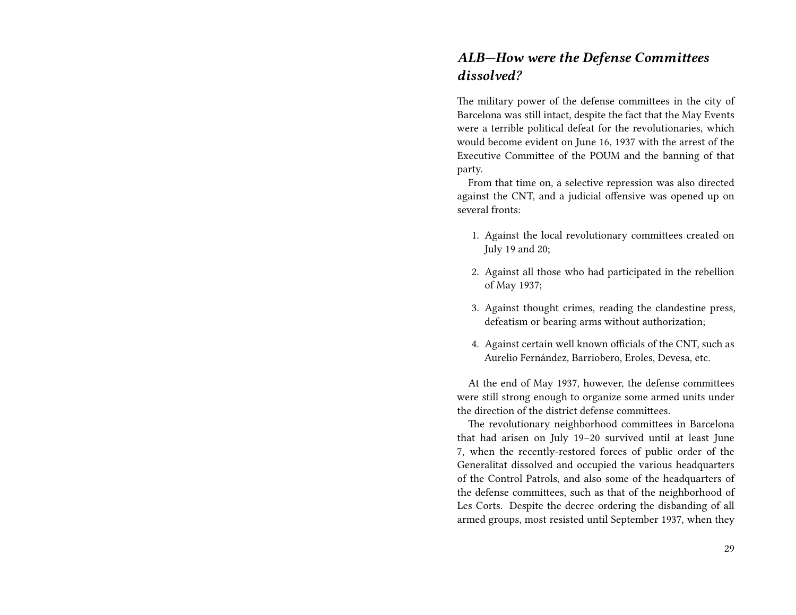#### *ALB—How were the Defense Committees dissolved?*

The military power of the defense committees in the city of Barcelona was still intact, despite the fact that the May Events were a terrible political defeat for the revolutionaries, which would become evident on June 16, 1937 with the arrest of the Executive Committee of the POUM and the banning of that party.

From that time on, a selective repression was also directed against the CNT, and a judicial offensive was opened up on several fronts:

- 1. Against the local revolutionary committees created on July 19 and 20;
- 2. Against all those who had participated in the rebellion of May 1937;
- 3. Against thought crimes, reading the clandestine press, defeatism or bearing arms without authorization;
- 4. Against certain well known officials of the CNT, such as Aurelio Fernández, Barriobero, Eroles, Devesa, etc.

At the end of May 1937, however, the defense committees were still strong enough to organize some armed units under the direction of the district defense committees.

The revolutionary neighborhood committees in Barcelona that had arisen on July 19–20 survived until at least June 7, when the recently-restored forces of public order of the Generalitat dissolved and occupied the various headquarters of the Control Patrols, and also some of the headquarters of the defense committees, such as that of the neighborhood of Les Corts. Despite the decree ordering the disbanding of all armed groups, most resisted until September 1937, when they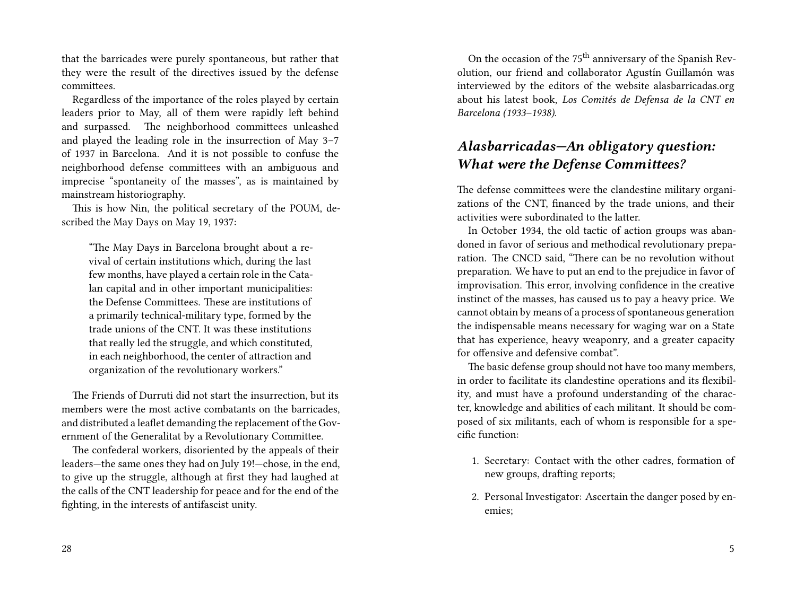that the barricades were purely spontaneous, but rather that they were the result of the directives issued by the defense committees.

Regardless of the importance of the roles played by certain leaders prior to May, all of them were rapidly left behind and surpassed. The neighborhood committees unleashed and played the leading role in the insurrection of May 3–7 of 1937 in Barcelona. And it is not possible to confuse the neighborhood defense committees with an ambiguous and imprecise "spontaneity of the masses", as is maintained by mainstream historiography.

This is how Nin, the political secretary of the POUM, described the May Days on May 19, 1937:

"The May Days in Barcelona brought about a revival of certain institutions which, during the last few months, have played a certain role in the Catalan capital and in other important municipalities: the Defense Committees. These are institutions of a primarily technical-military type, formed by the trade unions of the CNT. It was these institutions that really led the struggle, and which constituted, in each neighborhood, the center of attraction and organization of the revolutionary workers."

The Friends of Durruti did not start the insurrection, but its members were the most active combatants on the barricades, and distributed a leaflet demanding the replacement of the Government of the Generalitat by a Revolutionary Committee.

The confederal workers, disoriented by the appeals of their leaders—the same ones they had on July 19!—chose, in the end, to give up the struggle, although at first they had laughed at the calls of the CNT leadership for peace and for the end of the fighting, in the interests of antifascist unity.

On the occasion of the 75th anniversary of the Spanish Revolution, our friend and collaborator Agustín Guillamón was interviewed by the editors of the website alasbarricadas.org about his latest book, *Los Comités de Defensa de la CNT en Barcelona (1933–1938)*.

#### *Alasbarricadas—An obligatory question: What were the Defense Committees?*

The defense committees were the clandestine military organizations of the CNT, financed by the trade unions, and their activities were subordinated to the latter.

In October 1934, the old tactic of action groups was abandoned in favor of serious and methodical revolutionary preparation. The CNCD said, "There can be no revolution without preparation. We have to put an end to the prejudice in favor of improvisation. This error, involving confidence in the creative instinct of the masses, has caused us to pay a heavy price. We cannot obtain by means of a process of spontaneous generation the indispensable means necessary for waging war on a State that has experience, heavy weaponry, and a greater capacity for offensive and defensive combat".

The basic defense group should not have too many members, in order to facilitate its clandestine operations and its flexibility, and must have a profound understanding of the character, knowledge and abilities of each militant. It should be composed of six militants, each of whom is responsible for a specific function:

- 1. Secretary: Contact with the other cadres, formation of new groups, drafting reports;
- 2. Personal Investigator: Ascertain the danger posed by enemies;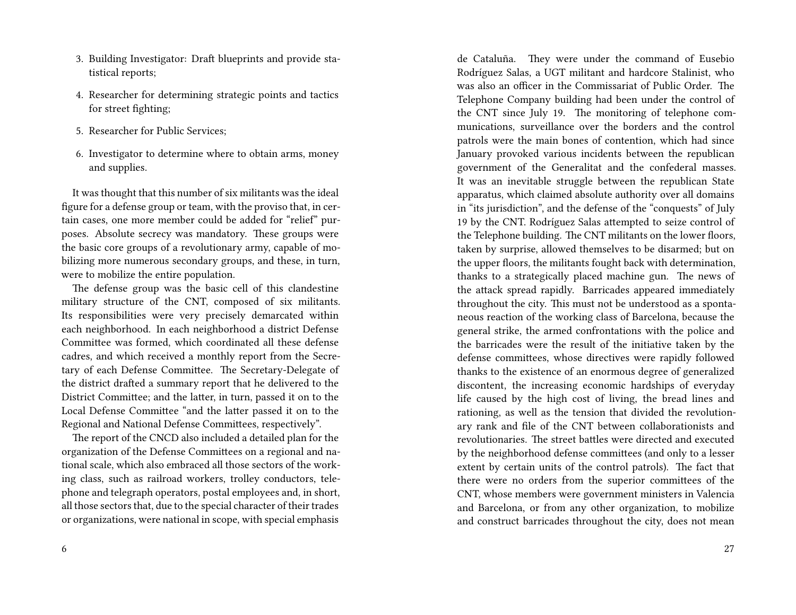- 3. Building Investigator: Draft blueprints and provide statistical reports;
- 4. Researcher for determining strategic points and tactics for street fighting;
- 5. Researcher for Public Services;
- 6. Investigator to determine where to obtain arms, money and supplies.

It was thought that this number of six militants was the ideal figure for a defense group or team, with the proviso that, in certain cases, one more member could be added for "relief" purposes. Absolute secrecy was mandatory. These groups were the basic core groups of a revolutionary army, capable of mobilizing more numerous secondary groups, and these, in turn, were to mobilize the entire population.

The defense group was the basic cell of this clandestine military structure of the CNT, composed of six militants. Its responsibilities were very precisely demarcated within each neighborhood. In each neighborhood a district Defense Committee was formed, which coordinated all these defense cadres, and which received a monthly report from the Secretary of each Defense Committee. The Secretary-Delegate of the district drafted a summary report that he delivered to the District Committee; and the latter, in turn, passed it on to the Local Defense Committee "and the latter passed it on to the Regional and National Defense Committees, respectively".

The report of the CNCD also included a detailed plan for the organization of the Defense Committees on a regional and national scale, which also embraced all those sectors of the working class, such as railroad workers, trolley conductors, telephone and telegraph operators, postal employees and, in short, all those sectors that, due to the special character of their trades or organizations, were national in scope, with special emphasis

de Cataluña. They were under the command of Eusebio Rodríguez Salas, a UGT militant and hardcore Stalinist, who was also an officer in the Commissariat of Public Order. The Telephone Company building had been under the control of the CNT since July 19. The monitoring of telephone communications, surveillance over the borders and the control patrols were the main bones of contention, which had since January provoked various incidents between the republican government of the Generalitat and the confederal masses. It was an inevitable struggle between the republican State apparatus, which claimed absolute authority over all domains in "its jurisdiction", and the defense of the "conquests" of July 19 by the CNT. Rodríguez Salas attempted to seize control of the Telephone building. The CNT militants on the lower floors, taken by surprise, allowed themselves to be disarmed; but on the upper floors, the militants fought back with determination, thanks to a strategically placed machine gun. The news of the attack spread rapidly. Barricades appeared immediately throughout the city. This must not be understood as a spontaneous reaction of the working class of Barcelona, because the general strike, the armed confrontations with the police and the barricades were the result of the initiative taken by the defense committees, whose directives were rapidly followed thanks to the existence of an enormous degree of generalized discontent, the increasing economic hardships of everyday life caused by the high cost of living, the bread lines and rationing, as well as the tension that divided the revolutionary rank and file of the CNT between collaborationists and revolutionaries. The street battles were directed and executed by the neighborhood defense committees (and only to a lesser extent by certain units of the control patrols). The fact that there were no orders from the superior committees of the CNT, whose members were government ministers in Valencia and Barcelona, or from any other organization, to mobilize and construct barricades throughout the city, does not mean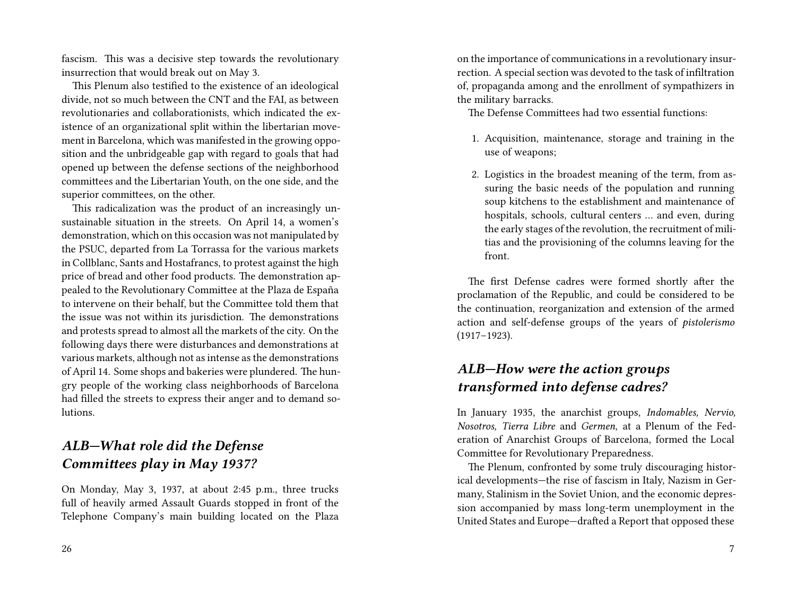fascism. This was a decisive step towards the revolutionary insurrection that would break out on May 3.

This Plenum also testified to the existence of an ideological divide, not so much between the CNT and the FAI, as between revolutionaries and collaborationists, which indicated the existence of an organizational split within the libertarian movement in Barcelona, which was manifested in the growing opposition and the unbridgeable gap with regard to goals that had opened up between the defense sections of the neighborhood committees and the Libertarian Youth, on the one side, and the superior committees, on the other.

This radicalization was the product of an increasingly unsustainable situation in the streets. On April 14, a women's demonstration, which on this occasion was not manipulated by the PSUC, departed from La Torrassa for the various markets in Collblanc, Sants and Hostafrancs, to protest against the high price of bread and other food products. The demonstration appealed to the Revolutionary Committee at the Plaza de España to intervene on their behalf, but the Committee told them that the issue was not within its jurisdiction. The demonstrations and protests spread to almost all the markets of the city. On the following days there were disturbances and demonstrations at various markets, although not as intense as the demonstrations of April 14. Some shops and bakeries were plundered. The hungry people of the working class neighborhoods of Barcelona had filled the streets to express their anger and to demand solutions.

#### *ALB—What role did the Defense Committees play in May 1937?*

On Monday, May 3, 1937, at about 2:45 p.m., three trucks full of heavily armed Assault Guards stopped in front of the Telephone Company's main building located on the Plaza on the importance of communications in a revolutionary insurrection. A special section was devoted to the task of infiltration of, propaganda among and the enrollment of sympathizers in the military barracks.

The Defense Committees had two essential functions:

- 1. Acquisition, maintenance, storage and training in the use of weapons;
- 2. Logistics in the broadest meaning of the term, from assuring the basic needs of the population and running soup kitchens to the establishment and maintenance of hospitals, schools, cultural centers … and even, during the early stages of the revolution, the recruitment of militias and the provisioning of the columns leaving for the front.

The first Defense cadres were formed shortly after the proclamation of the Republic, and could be considered to be the continuation, reorganization and extension of the armed action and self-defense groups of the years of *pistolerismo* (1917–1923).

#### *ALB—How were the action groups transformed into defense cadres?*

In January 1935, the anarchist groups, *Indomables, Nervio, Nosotros, Tierra Libre* and *Germen*, at a Plenum of the Federation of Anarchist Groups of Barcelona, formed the Local Committee for Revolutionary Preparedness.

The Plenum, confronted by some truly discouraging historical developments—the rise of fascism in Italy, Nazism in Germany, Stalinism in the Soviet Union, and the economic depression accompanied by mass long-term unemployment in the United States and Europe—drafted a Report that opposed these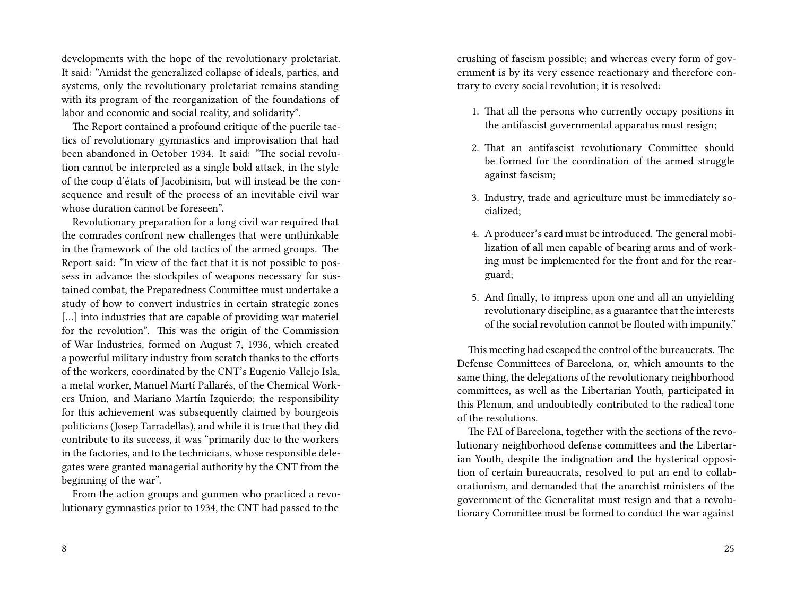developments with the hope of the revolutionary proletariat. It said: "Amidst the generalized collapse of ideals, parties, and systems, only the revolutionary proletariat remains standing with its program of the reorganization of the foundations of labor and economic and social reality, and solidarity".

The Report contained a profound critique of the puerile tactics of revolutionary gymnastics and improvisation that had been abandoned in October 1934. It said: "The social revolution cannot be interpreted as a single bold attack, in the style of the coup d'états of Jacobinism, but will instead be the consequence and result of the process of an inevitable civil war whose duration cannot be foreseen".

Revolutionary preparation for a long civil war required that the comrades confront new challenges that were unthinkable in the framework of the old tactics of the armed groups. The Report said: "In view of the fact that it is not possible to possess in advance the stockpiles of weapons necessary for sustained combat, the Preparedness Committee must undertake a study of how to convert industries in certain strategic zones [...] into industries that are capable of providing war materiel for the revolution". This was the origin of the Commission of War Industries, formed on August 7, 1936, which created a powerful military industry from scratch thanks to the efforts of the workers, coordinated by the CNT's Eugenio Vallejo Isla, a metal worker, Manuel Martí Pallarés, of the Chemical Workers Union, and Mariano Martín Izquierdo; the responsibility for this achievement was subsequently claimed by bourgeois politicians (Josep Tarradellas), and while it is true that they did contribute to its success, it was "primarily due to the workers in the factories, and to the technicians, whose responsible delegates were granted managerial authority by the CNT from the beginning of the war".

From the action groups and gunmen who practiced a revolutionary gymnastics prior to 1934, the CNT had passed to the

crushing of fascism possible; and whereas every form of government is by its very essence reactionary and therefore contrary to every social revolution; it is resolved:

- 1. That all the persons who currently occupy positions in the antifascist governmental apparatus must resign;
- 2. That an antifascist revolutionary Committee should be formed for the coordination of the armed struggle against fascism;
- 3. Industry, trade and agriculture must be immediately socialized;
- 4. A producer's card must be introduced. The general mobilization of all men capable of bearing arms and of working must be implemented for the front and for the rearguard;
- 5. And finally, to impress upon one and all an unyielding revolutionary discipline, as a guarantee that the interests of the social revolution cannot be flouted with impunity."

This meeting had escaped the control of the bureaucrats. The Defense Committees of Barcelona, or, which amounts to the same thing, the delegations of the revolutionary neighborhood committees, as well as the Libertarian Youth, participated in this Plenum, and undoubtedly contributed to the radical tone of the resolutions.

The FAI of Barcelona, together with the sections of the revolutionary neighborhood defense committees and the Libertarian Youth, despite the indignation and the hysterical opposition of certain bureaucrats, resolved to put an end to collaborationism, and demanded that the anarchist ministers of the government of the Generalitat must resign and that a revolutionary Committee must be formed to conduct the war against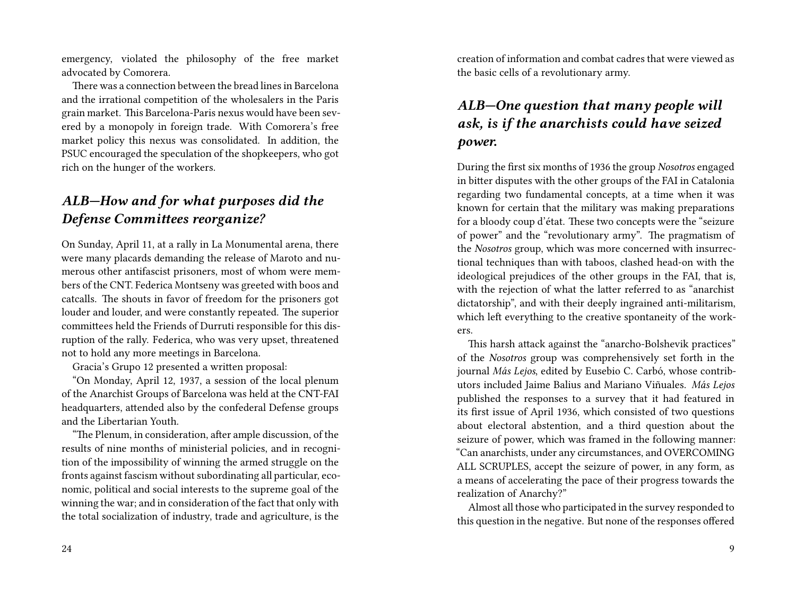emergency, violated the philosophy of the free market advocated by Comorera.

There was a connection between the bread lines in Barcelona and the irrational competition of the wholesalers in the Paris grain market. This Barcelona-Paris nexus would have been severed by a monopoly in foreign trade. With Comorera's free market policy this nexus was consolidated. In addition, the PSUC encouraged the speculation of the shopkeepers, who got rich on the hunger of the workers.

#### *ALB—How and for what purposes did the Defense Committees reorganize?*

On Sunday, April 11, at a rally in La Monumental arena, there were many placards demanding the release of Maroto and numerous other antifascist prisoners, most of whom were members of the CNT. Federica Montseny was greeted with boos and catcalls. The shouts in favor of freedom for the prisoners got louder and louder, and were constantly repeated. The superior committees held the Friends of Durruti responsible for this disruption of the rally. Federica, who was very upset, threatened not to hold any more meetings in Barcelona.

Gracia's Grupo 12 presented a written proposal:

"On Monday, April 12, 1937, a session of the local plenum of the Anarchist Groups of Barcelona was held at the CNT-FAI headquarters, attended also by the confederal Defense groups and the Libertarian Youth.

"The Plenum, in consideration, after ample discussion, of the results of nine months of ministerial policies, and in recognition of the impossibility of winning the armed struggle on the fronts against fascism without subordinating all particular, economic, political and social interests to the supreme goal of the winning the war; and in consideration of the fact that only with the total socialization of industry, trade and agriculture, is the

creation of information and combat cadres that were viewed as the basic cells of a revolutionary army.

#### *ALB—One question that many people will ask, is if the anarchists could have seized power.*

During the first six months of 1936 the group *Nosotros* engaged in bitter disputes with the other groups of the FAI in Catalonia regarding two fundamental concepts, at a time when it was known for certain that the military was making preparations for a bloody coup d'état. These two concepts were the "seizure of power" and the "revolutionary army". The pragmatism of the *Nosotros* group, which was more concerned with insurrectional techniques than with taboos, clashed head-on with the ideological prejudices of the other groups in the FAI, that is, with the rejection of what the latter referred to as "anarchist dictatorship", and with their deeply ingrained anti-militarism, which left everything to the creative spontaneity of the workers.

This harsh attack against the "anarcho-Bolshevik practices" of the *Nosotros* group was comprehensively set forth in the journal *Más Lejos*, edited by Eusebio C. Carbó, whose contributors included Jaime Balius and Mariano Viñuales. *Más Lejos* published the responses to a survey that it had featured in its first issue of April 1936, which consisted of two questions about electoral abstention, and a third question about the seizure of power, which was framed in the following manner: "Can anarchists, under any circumstances, and OVERCOMING ALL SCRUPLES, accept the seizure of power, in any form, as a means of accelerating the pace of their progress towards the realization of Anarchy?"

Almost all those who participated in the survey responded to this question in the negative. But none of the responses offered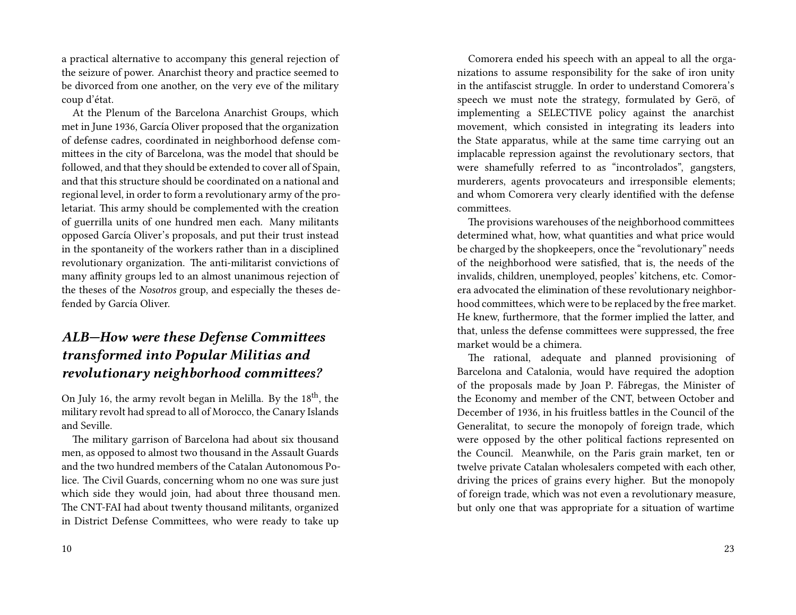a practical alternative to accompany this general rejection of the seizure of power. Anarchist theory and practice seemed to be divorced from one another, on the very eve of the military coup d'état.

At the Plenum of the Barcelona Anarchist Groups, which met in June 1936, García Oliver proposed that the organization of defense cadres, coordinated in neighborhood defense committees in the city of Barcelona, was the model that should be followed, and that they should be extended to cover all of Spain, and that this structure should be coordinated on a national and regional level, in order to form a revolutionary army of the proletariat. This army should be complemented with the creation of guerrilla units of one hundred men each. Many militants opposed García Oliver's proposals, and put their trust instead in the spontaneity of the workers rather than in a disciplined revolutionary organization. The anti-militarist convictions of many affinity groups led to an almost unanimous rejection of the theses of the *Nosotros* group, and especially the theses defended by García Oliver.

#### *ALB—How were these Defense Committees transformed into Popular Militias and revolutionary neighborhood committees?*

On July 16, the army revolt began in Melilla. By the  $18<sup>th</sup>$ , the military revolt had spread to all of Morocco, the Canary Islands and Seville.

The military garrison of Barcelona had about six thousand men, as opposed to almost two thousand in the Assault Guards and the two hundred members of the Catalan Autonomous Police. The Civil Guards, concerning whom no one was sure just which side they would join, had about three thousand men. The CNT-FAI had about twenty thousand militants, organized in District Defense Committees, who were ready to take up

Comorera ended his speech with an appeal to all the organizations to assume responsibility for the sake of iron unity in the antifascist struggle. In order to understand Comorera's speech we must note the strategy, formulated by Gerö, of implementing a SELECTIVE policy against the anarchist movement, which consisted in integrating its leaders into the State apparatus, while at the same time carrying out an implacable repression against the revolutionary sectors, that were shamefully referred to as "incontrolados", gangsters, murderers, agents provocateurs and irresponsible elements; and whom Comorera very clearly identified with the defense committees.

The provisions warehouses of the neighborhood committees determined what, how, what quantities and what price would be charged by the shopkeepers, once the "revolutionary" needs of the neighborhood were satisfied, that is, the needs of the invalids, children, unemployed, peoples' kitchens, etc. Comorera advocated the elimination of these revolutionary neighborhood committees, which were to be replaced by the free market. He knew, furthermore, that the former implied the latter, and that, unless the defense committees were suppressed, the free market would be a chimera.

The rational, adequate and planned provisioning of Barcelona and Catalonia, would have required the adoption of the proposals made by Joan P. Fábregas, the Minister of the Economy and member of the CNT, between October and December of 1936, in his fruitless battles in the Council of the Generalitat, to secure the monopoly of foreign trade, which were opposed by the other political factions represented on the Council. Meanwhile, on the Paris grain market, ten or twelve private Catalan wholesalers competed with each other, driving the prices of grains every higher. But the monopoly of foreign trade, which was not even a revolutionary measure, but only one that was appropriate for a situation of wartime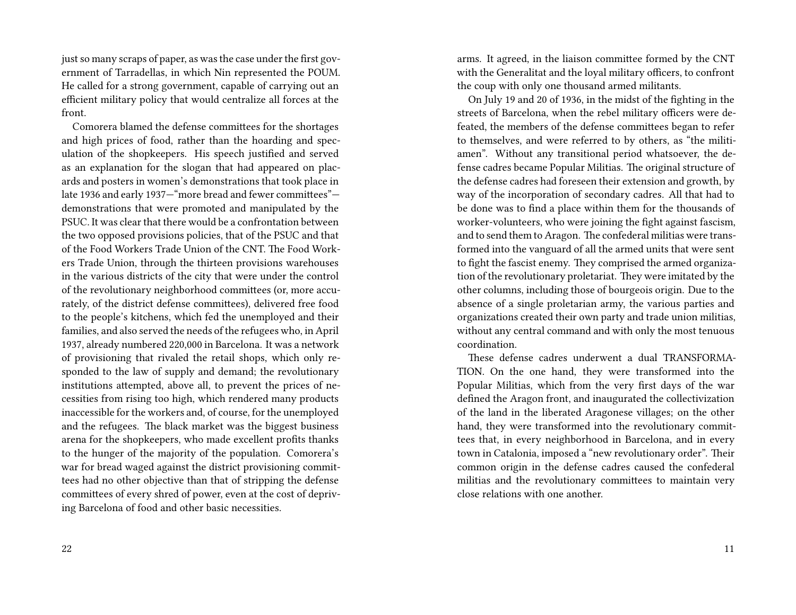just so many scraps of paper, as was the case under the first government of Tarradellas, in which Nin represented the POUM. He called for a strong government, capable of carrying out an efficient military policy that would centralize all forces at the front.

Comorera blamed the defense committees for the shortages and high prices of food, rather than the hoarding and speculation of the shopkeepers. His speech justified and served as an explanation for the slogan that had appeared on placards and posters in women's demonstrations that took place in late 1936 and early 1937—"more bread and fewer committees" demonstrations that were promoted and manipulated by the PSUC. It was clear that there would be a confrontation between the two opposed provisions policies, that of the PSUC and that of the Food Workers Trade Union of the CNT. The Food Workers Trade Union, through the thirteen provisions warehouses in the various districts of the city that were under the control of the revolutionary neighborhood committees (or, more accurately, of the district defense committees), delivered free food to the people's kitchens, which fed the unemployed and their families, and also served the needs of the refugees who, in April 1937, already numbered 220,000 in Barcelona. It was a network of provisioning that rivaled the retail shops, which only responded to the law of supply and demand; the revolutionary institutions attempted, above all, to prevent the prices of necessities from rising too high, which rendered many products inaccessible for the workers and, of course, for the unemployed and the refugees. The black market was the biggest business arena for the shopkeepers, who made excellent profits thanks to the hunger of the majority of the population. Comorera's war for bread waged against the district provisioning committees had no other objective than that of stripping the defense committees of every shred of power, even at the cost of depriving Barcelona of food and other basic necessities.

arms. It agreed, in the liaison committee formed by the CNT with the Generalitat and the loyal military officers, to confront the coup with only one thousand armed militants.

On July 19 and 20 of 1936, in the midst of the fighting in the streets of Barcelona, when the rebel military officers were defeated, the members of the defense committees began to refer to themselves, and were referred to by others, as "the militiamen". Without any transitional period whatsoever, the defense cadres became Popular Militias. The original structure of the defense cadres had foreseen their extension and growth, by way of the incorporation of secondary cadres. All that had to be done was to find a place within them for the thousands of worker-volunteers, who were joining the fight against fascism, and to send them to Aragon. The confederal militias were transformed into the vanguard of all the armed units that were sent to fight the fascist enemy. They comprised the armed organization of the revolutionary proletariat. They were imitated by the other columns, including those of bourgeois origin. Due to the absence of a single proletarian army, the various parties and organizations created their own party and trade union militias, without any central command and with only the most tenuous coordination.

These defense cadres underwent a dual TRANSFORMA-TION. On the one hand, they were transformed into the Popular Militias, which from the very first days of the war defined the Aragon front, and inaugurated the collectivization of the land in the liberated Aragonese villages; on the other hand, they were transformed into the revolutionary committees that, in every neighborhood in Barcelona, and in every town in Catalonia, imposed a "new revolutionary order". Their common origin in the defense cadres caused the confederal militias and the revolutionary committees to maintain very close relations with one another.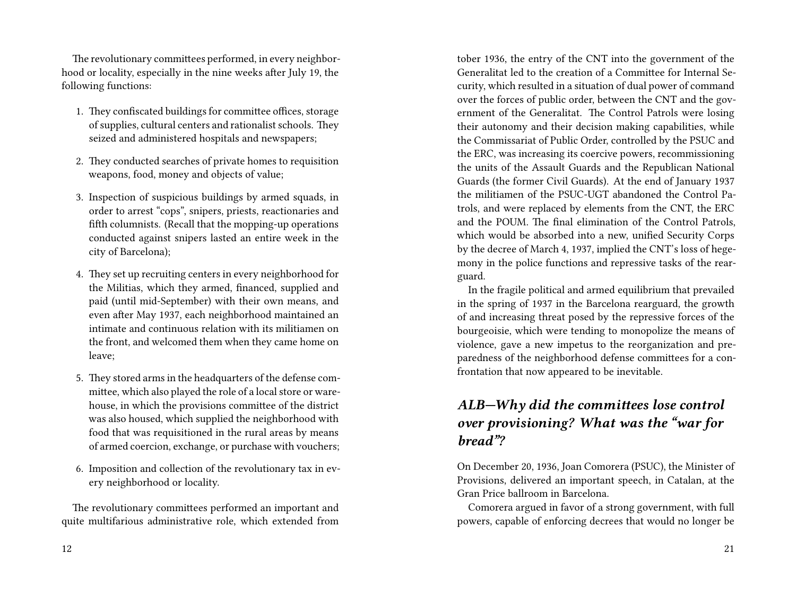The revolutionary committees performed, in every neighborhood or locality, especially in the nine weeks after July 19, the following functions:

- 1. They confiscated buildings for committee offices, storage of supplies, cultural centers and rationalist schools. They seized and administered hospitals and newspapers;
- 2. They conducted searches of private homes to requisition weapons, food, money and objects of value;
- 3. Inspection of suspicious buildings by armed squads, in order to arrest "cops", snipers, priests, reactionaries and fifth columnists. (Recall that the mopping-up operations conducted against snipers lasted an entire week in the city of Barcelona);
- 4. They set up recruiting centers in every neighborhood for the Militias, which they armed, financed, supplied and paid (until mid-September) with their own means, and even after May 1937, each neighborhood maintained an intimate and continuous relation with its militiamen on the front, and welcomed them when they came home on leave;
- 5. They stored arms in the headquarters of the defense committee, which also played the role of a local store or warehouse, in which the provisions committee of the district was also housed, which supplied the neighborhood with food that was requisitioned in the rural areas by means of armed coercion, exchange, or purchase with vouchers;
- 6. Imposition and collection of the revolutionary tax in every neighborhood or locality.

The revolutionary committees performed an important and quite multifarious administrative role, which extended from tober 1936, the entry of the CNT into the government of the Generalitat led to the creation of a Committee for Internal Security, which resulted in a situation of dual power of command over the forces of public order, between the CNT and the government of the Generalitat. The Control Patrols were losing their autonomy and their decision making capabilities, while the Commissariat of Public Order, controlled by the PSUC and the ERC, was increasing its coercive powers, recommissioning the units of the Assault Guards and the Republican National Guards (the former Civil Guards). At the end of January 1937 the militiamen of the PSUC-UGT abandoned the Control Patrols, and were replaced by elements from the CNT, the ERC and the POUM. The final elimination of the Control Patrols, which would be absorbed into a new, unified Security Corps by the decree of March 4, 1937, implied the CNT's loss of hegemony in the police functions and repressive tasks of the rearguard.

In the fragile political and armed equilibrium that prevailed in the spring of 1937 in the Barcelona rearguard, the growth of and increasing threat posed by the repressive forces of the bourgeoisie, which were tending to monopolize the means of violence, gave a new impetus to the reorganization and preparedness of the neighborhood defense committees for a confrontation that now appeared to be inevitable.

### *ALB—Why did the committees lose control over provisioning? What was the "war for bread"?*

On December 20, 1936, Joan Comorera (PSUC), the Minister of Provisions, delivered an important speech, in Catalan, at the Gran Price ballroom in Barcelona.

Comorera argued in favor of a strong government, with full powers, capable of enforcing decrees that would no longer be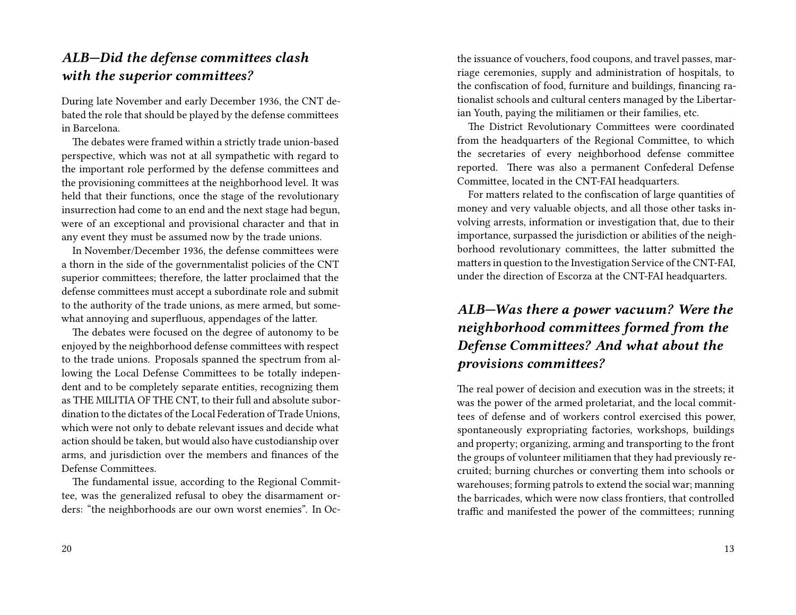#### *ALB—Did the defense committees clash with the superior committees?*

During late November and early December 1936, the CNT debated the role that should be played by the defense committees in Barcelona.

The debates were framed within a strictly trade union-based perspective, which was not at all sympathetic with regard to the important role performed by the defense committees and the provisioning committees at the neighborhood level. It was held that their functions, once the stage of the revolutionary insurrection had come to an end and the next stage had begun, were of an exceptional and provisional character and that in any event they must be assumed now by the trade unions.

In November/December 1936, the defense committees were a thorn in the side of the governmentalist policies of the CNT superior committees; therefore, the latter proclaimed that the defense committees must accept a subordinate role and submit to the authority of the trade unions, as mere armed, but somewhat annoying and superfluous, appendages of the latter.

The debates were focused on the degree of autonomy to be enjoyed by the neighborhood defense committees with respect to the trade unions. Proposals spanned the spectrum from allowing the Local Defense Committees to be totally independent and to be completely separate entities, recognizing them as THE MILITIA OF THE CNT, to their full and absolute subordination to the dictates of the Local Federation of Trade Unions, which were not only to debate relevant issues and decide what action should be taken, but would also have custodianship over arms, and jurisdiction over the members and finances of the Defense Committees.

The fundamental issue, according to the Regional Committee, was the generalized refusal to obey the disarmament orders: "the neighborhoods are our own worst enemies". In Octhe issuance of vouchers, food coupons, and travel passes, marriage ceremonies, supply and administration of hospitals, to the confiscation of food, furniture and buildings, financing rationalist schools and cultural centers managed by the Libertarian Youth, paying the militiamen or their families, etc.

The District Revolutionary Committees were coordinated from the headquarters of the Regional Committee, to which the secretaries of every neighborhood defense committee reported. There was also a permanent Confederal Defense Committee, located in the CNT-FAI headquarters.

For matters related to the confiscation of large quantities of money and very valuable objects, and all those other tasks involving arrests, information or investigation that, due to their importance, surpassed the jurisdiction or abilities of the neighborhood revolutionary committees, the latter submitted the matters in question to the Investigation Service of the CNT-FAI, under the direction of Escorza at the CNT-FAI headquarters.

### *ALB—Was there a power vacuum? Were the neighborhood committees formed from the Defense Committees? And what about the provisions committees?*

The real power of decision and execution was in the streets; it was the power of the armed proletariat, and the local committees of defense and of workers control exercised this power, spontaneously expropriating factories, workshops, buildings and property; organizing, arming and transporting to the front the groups of volunteer militiamen that they had previously recruited; burning churches or converting them into schools or warehouses; forming patrols to extend the social war; manning the barricades, which were now class frontiers, that controlled traffic and manifested the power of the committees; running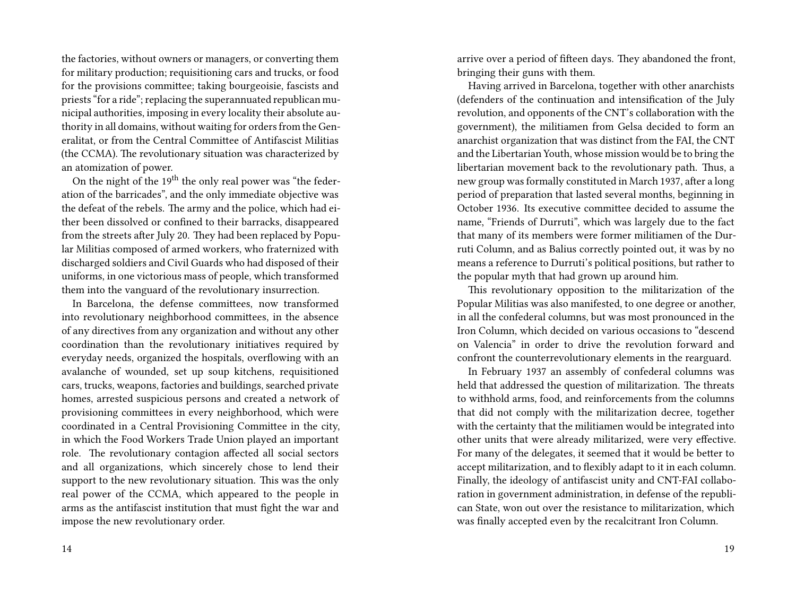the factories, without owners or managers, or converting them for military production; requisitioning cars and trucks, or food for the provisions committee; taking bourgeoisie, fascists and priests "for a ride"; replacing the superannuated republican municipal authorities, imposing in every locality their absolute authority in all domains, without waiting for orders from the Generalitat, or from the Central Committee of Antifascist Militias (the CCMA). The revolutionary situation was characterized by an atomization of power.

On the night of the 19<sup>th</sup> the only real power was "the federation of the barricades", and the only immediate objective was the defeat of the rebels. The army and the police, which had either been dissolved or confined to their barracks, disappeared from the streets after July 20. They had been replaced by Popular Militias composed of armed workers, who fraternized with discharged soldiers and Civil Guards who had disposed of their uniforms, in one victorious mass of people, which transformed them into the vanguard of the revolutionary insurrection.

In Barcelona, the defense committees, now transformed into revolutionary neighborhood committees, in the absence of any directives from any organization and without any other coordination than the revolutionary initiatives required by everyday needs, organized the hospitals, overflowing with an avalanche of wounded, set up soup kitchens, requisitioned cars, trucks, weapons, factories and buildings, searched private homes, arrested suspicious persons and created a network of provisioning committees in every neighborhood, which were coordinated in a Central Provisioning Committee in the city, in which the Food Workers Trade Union played an important role. The revolutionary contagion affected all social sectors and all organizations, which sincerely chose to lend their support to the new revolutionary situation. This was the only real power of the CCMA, which appeared to the people in arms as the antifascist institution that must fight the war and impose the new revolutionary order.

arrive over a period of fifteen days. They abandoned the front, bringing their guns with them.

Having arrived in Barcelona, together with other anarchists (defenders of the continuation and intensification of the July revolution, and opponents of the CNT's collaboration with the government), the militiamen from Gelsa decided to form an anarchist organization that was distinct from the FAI, the CNT and the Libertarian Youth, whose mission would be to bring the libertarian movement back to the revolutionary path. Thus, a new group was formally constituted in March 1937, after a long period of preparation that lasted several months, beginning in October 1936. Its executive committee decided to assume the name, "Friends of Durruti", which was largely due to the fact that many of its members were former militiamen of the Durruti Column, and as Balius correctly pointed out, it was by no means a reference to Durruti's political positions, but rather to the popular myth that had grown up around him.

This revolutionary opposition to the militarization of the Popular Militias was also manifested, to one degree or another, in all the confederal columns, but was most pronounced in the Iron Column, which decided on various occasions to "descend on Valencia" in order to drive the revolution forward and confront the counterrevolutionary elements in the rearguard.

In February 1937 an assembly of confederal columns was held that addressed the question of militarization. The threats to withhold arms, food, and reinforcements from the columns that did not comply with the militarization decree, together with the certainty that the militiamen would be integrated into other units that were already militarized, were very effective. For many of the delegates, it seemed that it would be better to accept militarization, and to flexibly adapt to it in each column. Finally, the ideology of antifascist unity and CNT-FAI collaboration in government administration, in defense of the republican State, won out over the resistance to militarization, which was finally accepted even by the recalcitrant Iron Column.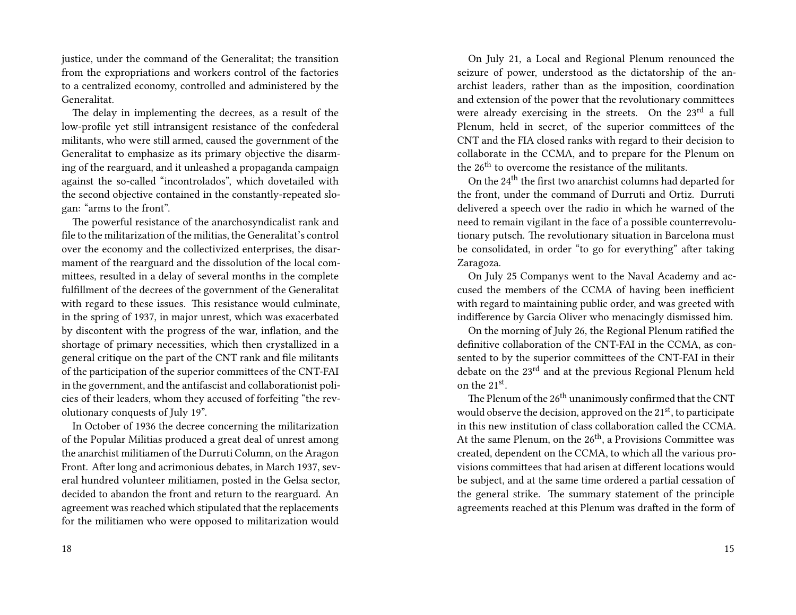justice, under the command of the Generalitat; the transition from the expropriations and workers control of the factories to a centralized economy, controlled and administered by the Generalitat.

The delay in implementing the decrees, as a result of the low-profile yet still intransigent resistance of the confederal militants, who were still armed, caused the government of the Generalitat to emphasize as its primary objective the disarming of the rearguard, and it unleashed a propaganda campaign against the so-called "incontrolados", which dovetailed with the second objective contained in the constantly-repeated slogan: "arms to the front".

The powerful resistance of the anarchosyndicalist rank and file to the militarization of the militias, the Generalitat's control over the economy and the collectivized enterprises, the disarmament of the rearguard and the dissolution of the local committees, resulted in a delay of several months in the complete fulfillment of the decrees of the government of the Generalitat with regard to these issues. This resistance would culminate, in the spring of 1937, in major unrest, which was exacerbated by discontent with the progress of the war, inflation, and the shortage of primary necessities, which then crystallized in a general critique on the part of the CNT rank and file militants of the participation of the superior committees of the CNT-FAI in the government, and the antifascist and collaborationist policies of their leaders, whom they accused of forfeiting "the revolutionary conquests of July 19".

In October of 1936 the decree concerning the militarization of the Popular Militias produced a great deal of unrest among the anarchist militiamen of the Durruti Column, on the Aragon Front. After long and acrimonious debates, in March 1937, several hundred volunteer militiamen, posted in the Gelsa sector, decided to abandon the front and return to the rearguard. An agreement was reached which stipulated that the replacements for the militiamen who were opposed to militarization would

On July 21, a Local and Regional Plenum renounced the seizure of power, understood as the dictatorship of the anarchist leaders, rather than as the imposition, coordination and extension of the power that the revolutionary committees were already exercising in the streets. On the 23<sup>rd</sup> a full Plenum, held in secret, of the superior committees of the CNT and the FIA closed ranks with regard to their decision to collaborate in the CCMA, and to prepare for the Plenum on the 26<sup>th</sup> to overcome the resistance of the militants.

On the 24th the first two anarchist columns had departed for the front, under the command of Durruti and Ortiz. Durruti delivered a speech over the radio in which he warned of the need to remain vigilant in the face of a possible counterrevolutionary putsch. The revolutionary situation in Barcelona must be consolidated, in order "to go for everything" after taking Zaragoza.

On July 25 Companys went to the Naval Academy and accused the members of the CCMA of having been inefficient with regard to maintaining public order, and was greeted with indifference by García Oliver who menacingly dismissed him.

On the morning of July 26, the Regional Plenum ratified the definitive collaboration of the CNT-FAI in the CCMA, as consented to by the superior committees of the CNT-FAI in their debate on the 23rd and at the previous Regional Plenum held on the 21st .

The Plenum of the 26<sup>th</sup> unanimously confirmed that the CNT would observe the decision, approved on the  $21<sup>st</sup>$ , to participate in this new institution of class collaboration called the CCMA. At the same Plenum, on the  $26<sup>th</sup>$ , a Provisions Committee was created, dependent on the CCMA, to which all the various provisions committees that had arisen at different locations would be subject, and at the same time ordered a partial cessation of the general strike. The summary statement of the principle agreements reached at this Plenum was drafted in the form of